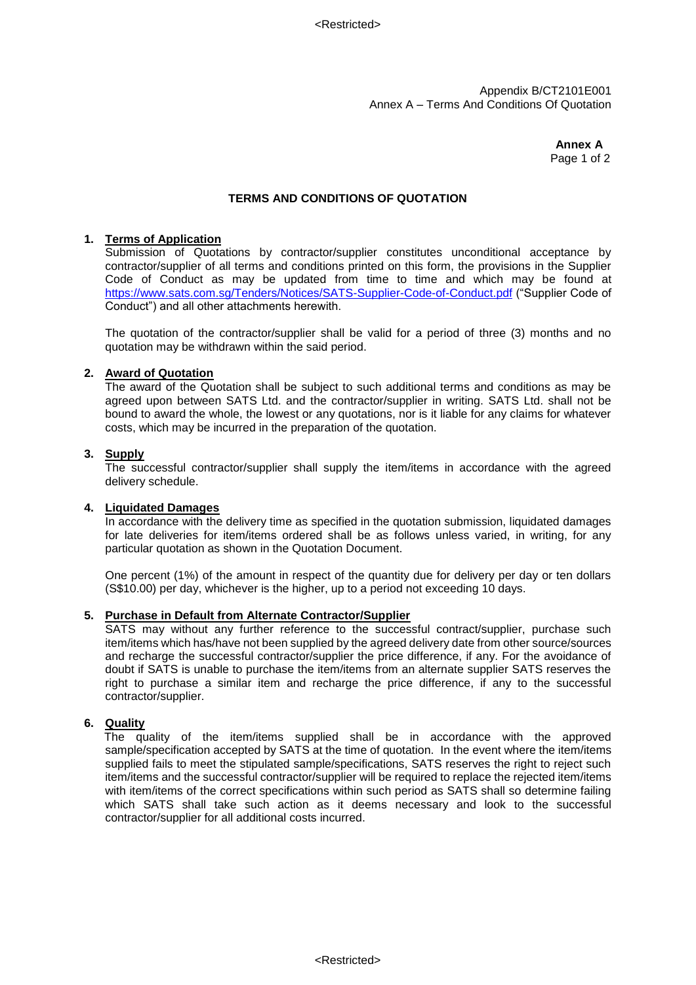Appendix B/CT2101E001 Annex A – Terms And Conditions Of Quotation

> **Annex A** Page 1 of 2

# **TERMS AND CONDITIONS OF QUOTATION**

### **1. Terms of Application**

Submission of Quotations by contractor/supplier constitutes unconditional acceptance by contractor/supplier of all terms and conditions printed on this form, the provisions in the Supplier Code of Conduct as may be updated from time to time and which may be found at <https://www.sats.com.sg/Tenders/Notices/SATS-Supplier-Code-of-Conduct.pdf> ("Supplier Code of Conduct") and all other attachments herewith.

The quotation of the contractor/supplier shall be valid for a period of three (3) months and no quotation may be withdrawn within the said period.

### **2. Award of Quotation**

The award of the Quotation shall be subject to such additional terms and conditions as may be agreed upon between SATS Ltd. and the contractor/supplier in writing. SATS Ltd. shall not be bound to award the whole, the lowest or any quotations, nor is it liable for any claims for whatever costs, which may be incurred in the preparation of the quotation.

### **3. Supply**

The successful contractor/supplier shall supply the item/items in accordance with the agreed delivery schedule.

### **4. Liquidated Damages**

In accordance with the delivery time as specified in the quotation submission, liquidated damages for late deliveries for item/items ordered shall be as follows unless varied, in writing, for any particular quotation as shown in the Quotation Document.

One percent (1%) of the amount in respect of the quantity due for delivery per day or ten dollars (S\$10.00) per day, whichever is the higher, up to a period not exceeding 10 days.

### **5. Purchase in Default from Alternate Contractor/Supplier**

SATS may without any further reference to the successful contract/supplier, purchase such item/items which has/have not been supplied by the agreed delivery date from other source/sources and recharge the successful contractor/supplier the price difference, if any. For the avoidance of doubt if SATS is unable to purchase the item/items from an alternate supplier SATS reserves the right to purchase a similar item and recharge the price difference, if any to the successful contractor/supplier.

### **6. Quality**

 The quality of the item/items supplied shall be in accordance with the approved sample/specification accepted by SATS at the time of quotation. In the event where the item/items supplied fails to meet the stipulated sample/specifications, SATS reserves the right to reject such item/items and the successful contractor/supplier will be required to replace the rejected item/items with item/items of the correct specifications within such period as SATS shall so determine failing which SATS shall take such action as it deems necessary and look to the successful contractor/supplier for all additional costs incurred.